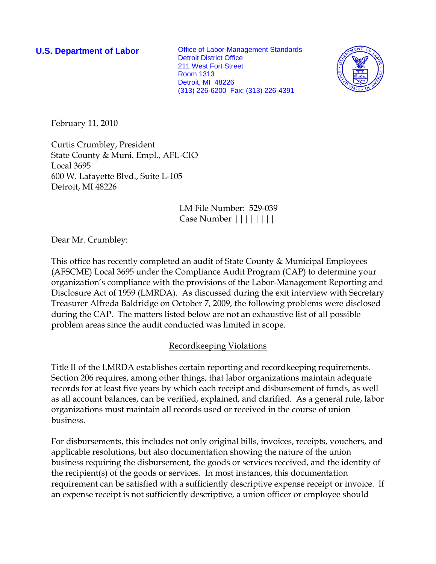**U.S. Department of Labor Office of Labor-Management Standards** Detroit District Office 211 West Fort Street Room 1313 Detroit, MI 48226 (313) 226-6200 Fax: (313) 226-4391



February 11, 2010

Curtis Crumbley, President State County & Muni. Empl., AFL-CIO Local 3695 600 W. Lafayette Blvd., Suite L-105 Detroit, MI 48226

> LM File Number: 529-039 Case Number ||||||||

Dear Mr. Crumbley:

This office has recently completed an audit of State County & Municipal Employees (AFSCME) Local 3695 under the Compliance Audit Program (CAP) to determine your organization's compliance with the provisions of the Labor-Management Reporting and Disclosure Act of 1959 (LMRDA). As discussed during the exit interview with Secretary Treasurer Alfreda Baldridge on October 7, 2009, the following problems were disclosed during the CAP. The matters listed below are not an exhaustive list of all possible problem areas since the audit conducted was limited in scope.

# Recordkeeping Violations

Title II of the LMRDA establishes certain reporting and recordkeeping requirements. Section 206 requires, among other things, that labor organizations maintain adequate records for at least five years by which each receipt and disbursement of funds, as well as all account balances, can be verified, explained, and clarified. As a general rule, labor organizations must maintain all records used or received in the course of union business.

For disbursements, this includes not only original bills, invoices, receipts, vouchers, and applicable resolutions, but also documentation showing the nature of the union business requiring the disbursement, the goods or services received, and the identity of the recipient(s) of the goods or services. In most instances, this documentation requirement can be satisfied with a sufficiently descriptive expense receipt or invoice. If an expense receipt is not sufficiently descriptive, a union officer or employee should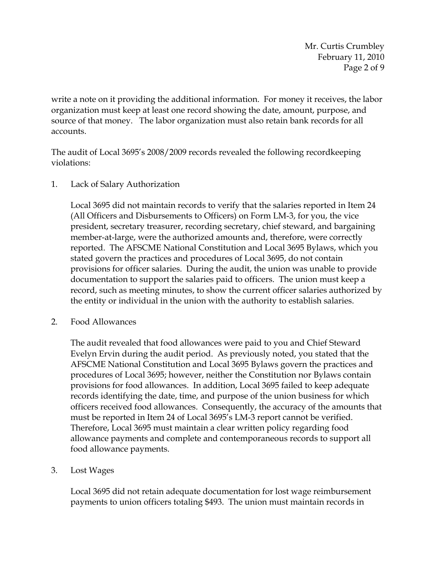Mr. Curtis Crumbley February 11, 2010 Page 2 of 9

write a note on it providing the additional information. For money it receives, the labor organization must keep at least one record showing the date, amount, purpose, and source of that money. The labor organization must also retain bank records for all accounts.

The audit of Local 3695's 2008/2009 records revealed the following recordkeeping violations:

# 1. Lack of Salary Authorization

Local 3695 did not maintain records to verify that the salaries reported in Item 24 (All Officers and Disbursements to Officers) on Form LM-3, for you, the vice president, secretary treasurer, recording secretary, chief steward, and bargaining member-at-large, were the authorized amounts and, therefore, were correctly reported. The AFSCME National Constitution and Local 3695 Bylaws, which you stated govern the practices and procedures of Local 3695, do not contain provisions for officer salaries. During the audit, the union was unable to provide documentation to support the salaries paid to officers. The union must keep a record, such as meeting minutes, to show the current officer salaries authorized by the entity or individual in the union with the authority to establish salaries.

2. Food Allowances

The audit revealed that food allowances were paid to you and Chief Steward Evelyn Ervin during the audit period. As previously noted, you stated that the AFSCME National Constitution and Local 3695 Bylaws govern the practices and procedures of Local 3695; however, neither the Constitution nor Bylaws contain provisions for food allowances. In addition, Local 3695 failed to keep adequate records identifying the date, time, and purpose of the union business for which officers received food allowances. Consequently, the accuracy of the amounts that must be reported in Item 24 of Local 3695's LM-3 report cannot be verified. Therefore, Local 3695 must maintain a clear written policy regarding food allowance payments and complete and contemporaneous records to support all food allowance payments.

#### 3. Lost Wages

Local 3695 did not retain adequate documentation for lost wage reimbursement payments to union officers totaling \$493. The union must maintain records in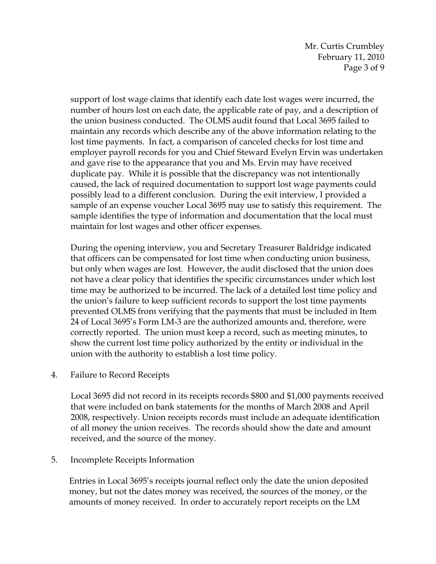Mr. Curtis Crumbley February 11, 2010 Page 3 of 9

support of lost wage claims that identify each date lost wages were incurred, the number of hours lost on each date, the applicable rate of pay, and a description of the union business conducted. The OLMS audit found that Local 3695 failed to maintain any records which describe any of the above information relating to the lost time payments. In fact, a comparison of canceled checks for lost time and employer payroll records for you and Chief Steward Evelyn Ervin was undertaken and gave rise to the appearance that you and Ms. Ervin may have received duplicate pay. While it is possible that the discrepancy was not intentionally caused, the lack of required documentation to support lost wage payments could possibly lead to a different conclusion. During the exit interview, I provided a sample of an expense voucher Local 3695 may use to satisfy this requirement. The sample identifies the type of information and documentation that the local must maintain for lost wages and other officer expenses.

During the opening interview, you and Secretary Treasurer Baldridge indicated that officers can be compensated for lost time when conducting union business, but only when wages are lost. However, the audit disclosed that the union does not have a clear policy that identifies the specific circumstances under which lost time may be authorized to be incurred. The lack of a detailed lost time policy and the union's failure to keep sufficient records to support the lost time payments prevented OLMS from verifying that the payments that must be included in Item 24 of Local 3695's Form LM-3 are the authorized amounts and, therefore, were correctly reported. The union must keep a record, such as meeting minutes, to show the current lost time policy authorized by the entity or individual in the union with the authority to establish a lost time policy.

4. Failure to Record Receipts

Local 3695 did not record in its receipts records \$800 and \$1,000 payments received that were included on bank statements for the months of March 2008 and April 2008, respectively. Union receipts records must include an adequate identification of all money the union receives. The records should show the date and amount received, and the source of the money.

#### 5. Incomplete Receipts Information

Entries in Local 3695's receipts journal reflect only the date the union deposited money, but not the dates money was received, the sources of the money, or the amounts of money received. In order to accurately report receipts on the LM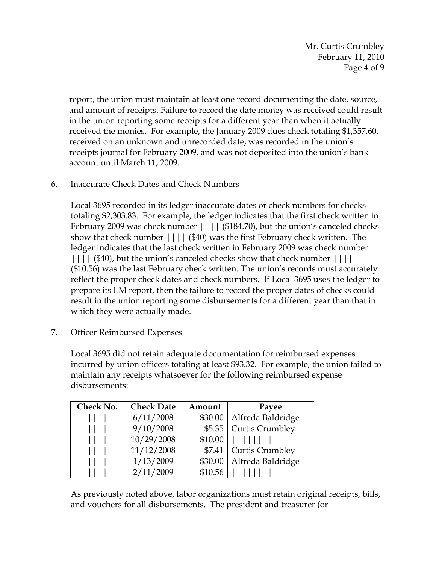Mr. Curtis Crumbley February 11, 2010 Page 4 of 9

report, the union must maintain at least one record documenting the date, source, and amount of receipts. Failure to record the date money was received could result in the union reporting some receipts for a different year than when it actually received the monies. For example, the January 2009 dues check totaling \$1,357.60, received on an unknown and unrecorded date, was recorded in the union's receipts journal for February 2009, and was not deposited into the union's bank account until March 11, 2009.

6. Inaccurate Check Dates and Check Numbers

Local 3695 recorded in its ledger inaccurate dates or check numbers for checks totaling \$2,303.83. For example, the ledger indicates that the first check written in February 2009 was check number  $|||||$  (\$184.70), but the union's canceled checks show that check number |||| (\$40) was the first February check written. The ledger indicates that the last check written in February 2009 was check number |||| (\$40), but the union's canceled checks show that check number |||| (\$10.56) was the last February check written. The union's records must accurately reflect the proper check dates and check numbers. If Local 3695 uses the ledger to prepare its LM report, then the failure to record the proper dates of checks could result in the union reporting some disbursements for a different year than that in which they were actually made.

7. Officer Reimbursed Expenses

Local 3695 did not retain adequate documentation for reimbursed expenses incurred by union officers totaling at least \$93.32. For example, the union failed to maintain any receipts whatsoever for the following reimbursed expense disbursements:

| Check No. | <b>Check Date</b> | Amount  | Payee                       |
|-----------|-------------------|---------|-----------------------------|
|           | 6/11/2008         |         | \$30.00   Alfreda Baldridge |
|           | 9/10/2008         | \$5.35  | Curtis Crumbley             |
|           | 10/29/2008        | \$10.00 |                             |
|           | 11/12/2008        | \$7.41  | Curtis Crumbley             |
|           | 1/13/2009         | \$30.00 | Alfreda Baldridge           |
|           | 2/11/2009         | \$10.56 |                             |

As previously noted above, labor organizations must retain original receipts, bills, and vouchers for all disbursements. The president and treasurer (or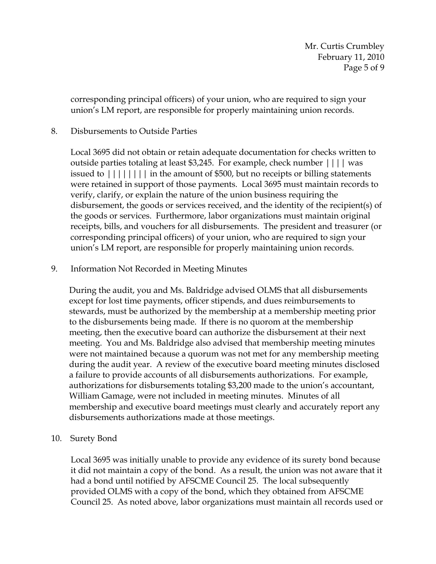corresponding principal officers) of your union, who are required to sign your union's LM report, are responsible for properly maintaining union records.

## 8. Disbursements to Outside Parties

Local 3695 did not obtain or retain adequate documentation for checks written to outside parties totaling at least \$3,245. For example, check number |||| was issued to  $|||||||||$  in the amount of \$500, but no receipts or billing statements were retained in support of those payments. Local 3695 must maintain records to verify, clarify, or explain the nature of the union business requiring the disbursement, the goods or services received, and the identity of the recipient(s) of the goods or services. Furthermore, labor organizations must maintain original receipts, bills, and vouchers for all disbursements. The president and treasurer (or corresponding principal officers) of your union, who are required to sign your union's LM report, are responsible for properly maintaining union records.

9. Information Not Recorded in Meeting Minutes

During the audit, you and Ms. Baldridge advised OLMS that all disbursements except for lost time payments, officer stipends, and dues reimbursements to stewards, must be authorized by the membership at a membership meeting prior to the disbursements being made. If there is no quorom at the membership meeting, then the executive board can authorize the disbursement at their next meeting. You and Ms. Baldridge also advised that membership meeting minutes were not maintained because a quorum was not met for any membership meeting during the audit year. A review of the executive board meeting minutes disclosed a failure to provide accounts of all disbursements authorizations. For example, authorizations for disbursements totaling \$3,200 made to the union's accountant, William Gamage, were not included in meeting minutes. Minutes of all membership and executive board meetings must clearly and accurately report any disbursements authorizations made at those meetings.

10. Surety Bond

Local 3695 was initially unable to provide any evidence of its surety bond because it did not maintain a copy of the bond. As a result, the union was not aware that it had a bond until notified by AFSCME Council 25. The local subsequently provided OLMS with a copy of the bond, which they obtained from AFSCME Council 25. As noted above, labor organizations must maintain all records used or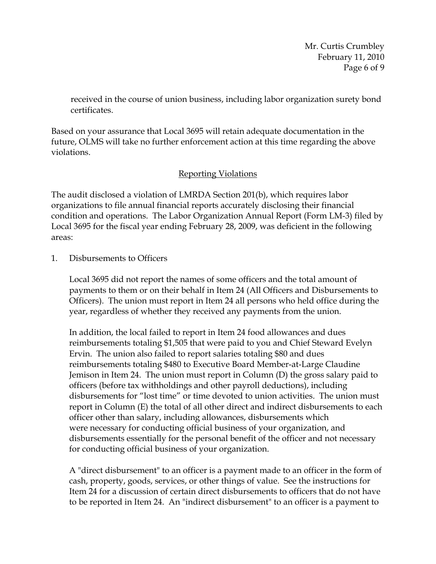Mr. Curtis Crumbley February 11, 2010 Page 6 of 9

received in the course of union business, including labor organization surety bond certificates.

Based on your assurance that Local 3695 will retain adequate documentation in the future, OLMS will take no further enforcement action at this time regarding the above violations.

# Reporting Violations

The audit disclosed a violation of LMRDA Section 201(b), which requires labor organizations to file annual financial reports accurately disclosing their financial condition and operations. The Labor Organization Annual Report (Form LM-3) filed by Local 3695 for the fiscal year ending February 28, 2009, was deficient in the following areas:

1. Disbursements to Officers

Local 3695 did not report the names of some officers and the total amount of payments to them or on their behalf in Item 24 (All Officers and Disbursements to Officers). The union must report in Item 24 all persons who held office during the year, regardless of whether they received any payments from the union.

In addition, the local failed to report in Item 24 food allowances and dues reimbursements totaling \$1,505 that were paid to you and Chief Steward Evelyn Ervin. The union also failed to report salaries totaling \$80 and dues reimbursements totaling \$480 to Executive Board Member-at-Large Claudine Jemison in Item 24. The union must report in Column (D) the gross salary paid to officers (before tax withholdings and other payroll deductions), including disbursements for "lost time" or time devoted to union activities. The union must report in Column (E) the total of all other direct and indirect disbursements to each officer other than salary, including allowances, disbursements which were necessary for conducting official business of your organization, and disbursements essentially for the personal benefit of the officer and not necessary for conducting official business of your organization.

A "direct disbursement" to an officer is a payment made to an officer in the form of cash, property, goods, services, or other things of value. See the instructions for Item 24 for a discussion of certain direct disbursements to officers that do not have to be reported in Item 24. An "indirect disbursement" to an officer is a payment to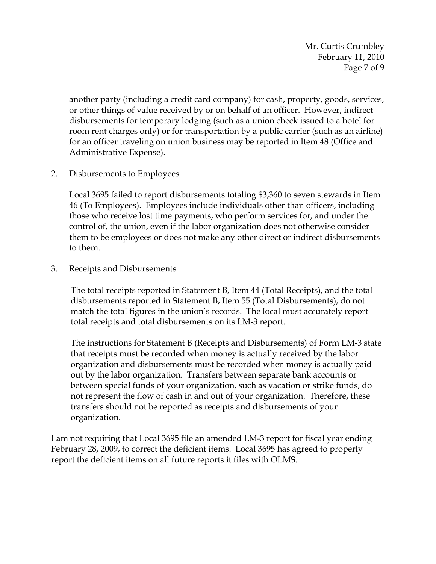Mr. Curtis Crumbley February 11, 2010 Page 7 of 9

another party (including a credit card company) for cash, property, goods, services, or other things of value received by or on behalf of an officer. However, indirect disbursements for temporary lodging (such as a union check issued to a hotel for room rent charges only) or for transportation by a public carrier (such as an airline) for an officer traveling on union business may be reported in Item 48 (Office and Administrative Expense).

2. Disbursements to Employees

Local 3695 failed to report disbursements totaling \$3,360 to seven stewards in Item 46 (To Employees). Employees include individuals other than officers, including those who receive lost time payments, who perform services for, and under the control of, the union, even if the labor organization does not otherwise consider them to be employees or does not make any other direct or indirect disbursements to them.

3. Receipts and Disbursements

The total receipts reported in Statement B, Item 44 (Total Receipts), and the total disbursements reported in Statement B, Item 55 (Total Disbursements), do not match the total figures in the union's records. The local must accurately report total receipts and total disbursements on its LM-3 report.

The instructions for Statement B (Receipts and Disbursements) of Form LM-3 state that receipts must be recorded when money is actually received by the labor organization and disbursements must be recorded when money is actually paid out by the labor organization. Transfers between separate bank accounts or between special funds of your organization, such as vacation or strike funds, do not represent the flow of cash in and out of your organization. Therefore, these transfers should not be reported as receipts and disbursements of your organization.

I am not requiring that Local 3695 file an amended LM-3 report for fiscal year ending February 28, 2009, to correct the deficient items. Local 3695 has agreed to properly report the deficient items on all future reports it files with OLMS.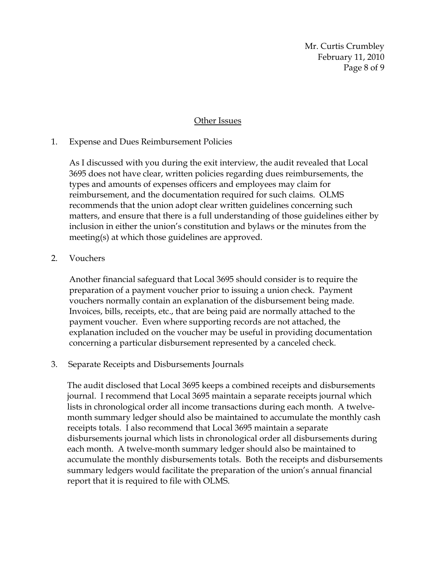Mr. Curtis Crumbley February 11, 2010 Page 8 of 9

#### Other Issues

# 1. Expense and Dues Reimbursement Policies

As I discussed with you during the exit interview, the audit revealed that Local 3695 does not have clear, written policies regarding dues reimbursements, the types and amounts of expenses officers and employees may claim for reimbursement, and the documentation required for such claims. OLMS recommends that the union adopt clear written guidelines concerning such matters, and ensure that there is a full understanding of those guidelines either by inclusion in either the union's constitution and bylaws or the minutes from the meeting(s) at which those guidelines are approved.

# 2. Vouchers

Another financial safeguard that Local 3695 should consider is to require the preparation of a payment voucher prior to issuing a union check. Payment vouchers normally contain an explanation of the disbursement being made. Invoices, bills, receipts, etc., that are being paid are normally attached to the payment voucher. Even where supporting records are not attached, the explanation included on the voucher may be useful in providing documentation concerning a particular disbursement represented by a canceled check.

#### 3. Separate Receipts and Disbursements Journals

The audit disclosed that Local 3695 keeps a combined receipts and disbursements journal. I recommend that Local 3695 maintain a separate receipts journal which lists in chronological order all income transactions during each month. A twelvemonth summary ledger should also be maintained to accumulate the monthly cash receipts totals. I also recommend that Local 3695 maintain a separate disbursements journal which lists in chronological order all disbursements during each month. A twelve-month summary ledger should also be maintained to accumulate the monthly disbursements totals. Both the receipts and disbursements summary ledgers would facilitate the preparation of the union's annual financial report that it is required to file with OLMS.